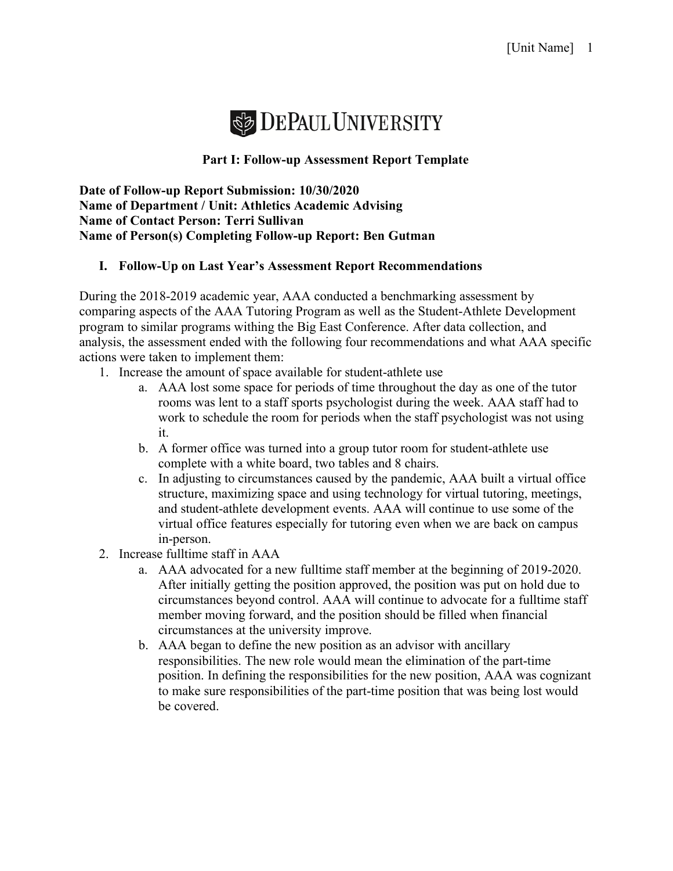

## **Part I: Follow-up Assessment Report Template**

**Date of Follow-up Report Submission: 10/30/2020 Name of Department / Unit: Athletics Academic Advising Name of Contact Person: Terri Sullivan Name of Person(s) Completing Follow-up Report: Ben Gutman** 

## **I. Follow-Up on Last Year's Assessment Report Recommendations**

During the 2018-2019 academic year, AAA conducted a benchmarking assessment by comparing aspects of the AAA Tutoring Program as well as the Student-Athlete Development program to similar programs withing the Big East Conference. After data collection, and analysis, the assessment ended with the following four recommendations and what AAA specific actions were taken to implement them:

- 1. Increase the amount of space available for student-athlete use
	- a. AAA lost some space for periods of time throughout the day as one of the tutor rooms was lent to a staff sports psychologist during the week. AAA staff had to work to schedule the room for periods when the staff psychologist was not using it.
	- b. A former office was turned into a group tutor room for student-athlete use complete with a white board, two tables and 8 chairs.
	- c. In adjusting to circumstances caused by the pandemic, AAA built a virtual office structure, maximizing space and using technology for virtual tutoring, meetings, and student-athlete development events. AAA will continue to use some of the virtual office features especially for tutoring even when we are back on campus in-person.
- 2. Increase fulltime staff in AAA
	- a. AAA advocated for a new fulltime staff member at the beginning of 2019-2020. After initially getting the position approved, the position was put on hold due to circumstances beyond control. AAA will continue to advocate for a fulltime staff member moving forward, and the position should be filled when financial circumstances at the university improve.
	- b. AAA began to define the new position as an advisor with ancillary responsibilities. The new role would mean the elimination of the part-time position. In defining the responsibilities for the new position, AAA was cognizant to make sure responsibilities of the part-time position that was being lost would be covered.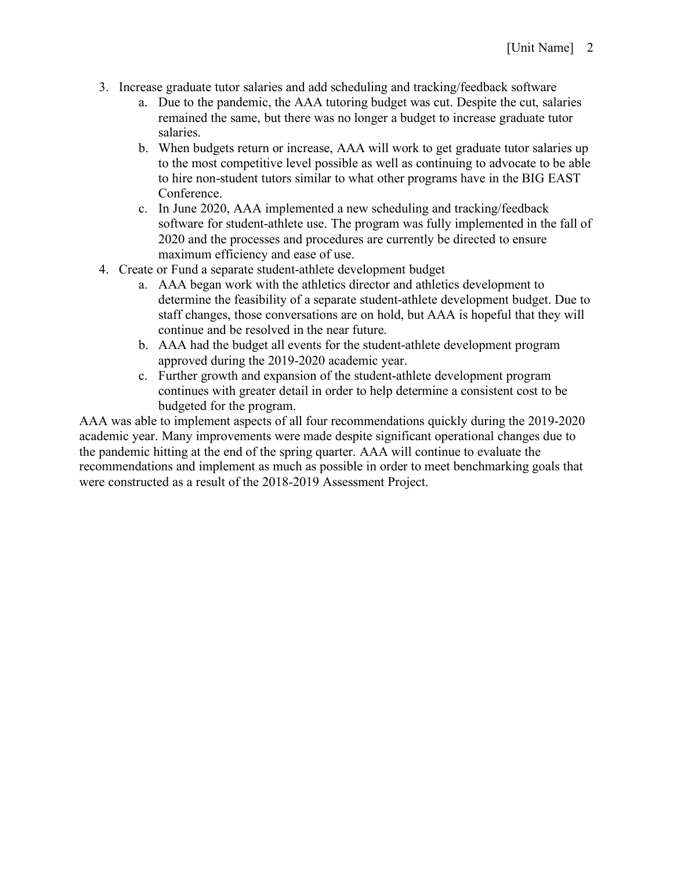- 3. Increase graduate tutor salaries and add scheduling and tracking/feedback software
	- a. Due to the pandemic, the AAA tutoring budget was cut. Despite the cut, salaries remained the same, but there was no longer a budget to increase graduate tutor salaries.
	- b. When budgets return or increase, AAA will work to get graduate tutor salaries up to the most competitive level possible as well as continuing to advocate to be able to hire non-student tutors similar to what other programs have in the BIG EAST Conference.
	- c. In June 2020, AAA implemented a new scheduling and tracking/feedback software for student-athlete use. The program was fully implemented in the fall of 2020 and the processes and procedures are currently be directed to ensure maximum efficiency and ease of use.
- 4. Create or Fund a separate student-athlete development budget
	- a. AAA began work with the athletics director and athletics development to determine the feasibility of a separate student-athlete development budget. Due to staff changes, those conversations are on hold, but AAA is hopeful that they will continue and be resolved in the near future.
	- b. AAA had the budget all events for the student-athlete development program approved during the 2019-2020 academic year.
	- c. Further growth and expansion of the student-athlete development program continues with greater detail in order to help determine a consistent cost to be budgeted for the program.

AAA was able to implement aspects of all four recommendations quickly during the 2019-2020 academic year. Many improvements were made despite significant operational changes due to the pandemic hitting at the end of the spring quarter. AAA will continue to evaluate the recommendations and implement as much as possible in order to meet benchmarking goals that were constructed as a result of the 2018-2019 Assessment Project.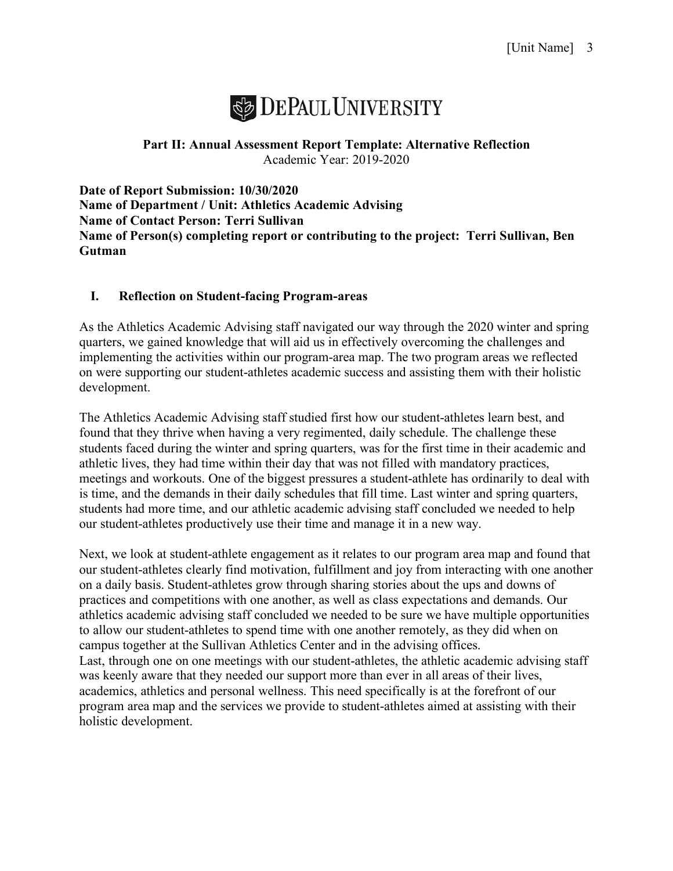

## **Part II: Annual Assessment Report Template: Alternative Reflection** Academic Year: 2019-2020

**Date of Report Submission: 10/30/2020 Name of Department / Unit: Athletics Academic Advising Name of Contact Person: Terri Sullivan Name of Person(s) completing report or contributing to the project: Terri Sullivan, Ben Gutman**

## **I. Reflection on Student-facing Program-areas**

As the Athletics Academic Advising staff navigated our way through the 2020 winter and spring quarters, we gained knowledge that will aid us in effectively overcoming the challenges and implementing the activities within our program-area map. The two program areas we reflected on were supporting our student-athletes academic success and assisting them with their holistic development.

The Athletics Academic Advising staff studied first how our student-athletes learn best, and found that they thrive when having a very regimented, daily schedule. The challenge these students faced during the winter and spring quarters, was for the first time in their academic and athletic lives, they had time within their day that was not filled with mandatory practices, meetings and workouts. One of the biggest pressures a student-athlete has ordinarily to deal with is time, and the demands in their daily schedules that fill time. Last winter and spring quarters, students had more time, and our athletic academic advising staff concluded we needed to help our student-athletes productively use their time and manage it in a new way.

Next, we look at student-athlete engagement as it relates to our program area map and found that our student-athletes clearly find motivation, fulfillment and joy from interacting with one another on a daily basis. Student-athletes grow through sharing stories about the ups and downs of practices and competitions with one another, as well as class expectations and demands. Our athletics academic advising staff concluded we needed to be sure we have multiple opportunities to allow our student-athletes to spend time with one another remotely, as they did when on campus together at the Sullivan Athletics Center and in the advising offices. Last, through one on one meetings with our student-athletes, the athletic academic advising staff was keenly aware that they needed our support more than ever in all areas of their lives, academics, athletics and personal wellness. This need specifically is at the forefront of our program area map and the services we provide to student-athletes aimed at assisting with their holistic development.